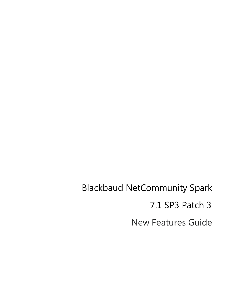New Features Guide Blackbaud NetCommunity Spark 7.1 SP3 Patch 3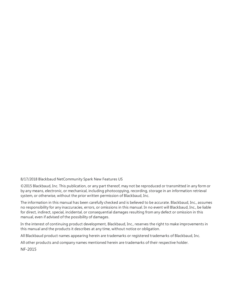#### 8/17/2018 Blackbaud NetCommunity Spark New Features US

©2015 Blackbaud, Inc. This publication, or any part thereof, may not be reproduced or transmitted in any form or by any means, electronic, or mechanical, including photocopying, recording, storage in an information retrieval system, or otherwise, without the prior written permission of Blackbaud, Inc.

The information in this manual has been carefully checked and is believed to be accurate. Blackbaud, Inc., assumes no responsibility for any inaccuracies, errors, or omissions in this manual. In no event will Blackbaud, Inc., be liable for direct, indirect, special, incidental, or consequential damages resulting from any defect or omission in this manual, even if advised of the possibility of damages.

In the interest of continuing product development, Blackbaud, Inc., reserves the right to make improvements in this manual and the products it describes at any time, without notice or obligation.

All Blackbaud product names appearing herein are trademarks or registered trademarks of Blackbaud, Inc.

All other products and company names mentioned herein are trademarks of their respective holder.

NF-2015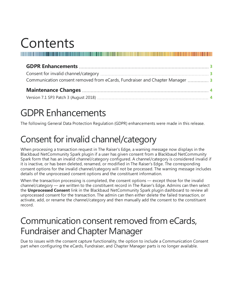## Contents

| Communication consent removed from eCards, Fundraiser and Chapter Manager  3 |  |
|------------------------------------------------------------------------------|--|
|                                                                              |  |
|                                                                              |  |

### <span id="page-2-0"></span>GDPR Enhancements

<span id="page-2-1"></span>The following General Data Protection Regulation (GDPR) enhancements were made in this release.

### Consent for invalid channel/category

When processing a transaction request in The Raiser's Edge, a warning message now displays in the Blackbaud NetCommunity Spark plugin if a user has given consent from a Blackbaud NetCommunity Spark form that has an invalid channel/category configured. A channel/category is considered invalid if it is inactive, or has been deleted, renamed, or modified in The Raiser's Edge. The corresponding consent options for the invalid channel/category will not be processed. The warning message includes details of the unprocessed consent options and the constituent information.

When the transaction processing is completed, the consent options — except those for the invalid channel/category — are written to the constituent record in The Raiser's Edge. Admins can then select the **Unprocessed Consent** link in the Blackbaud NetCommunity Spark plugin dashboard to review all unprocessed consent for the transaction. The admin can then either delete the failed transaction, or activate, add, or rename the channel/category and then manually add the consent to the constituent record.

#### <span id="page-2-2"></span>Communication consent removed from eCards, Fundraiser and Chapter Manager

Due to issues with the consent capture functionality, the option to include a Communication Consent part when configuring the eCards, Fundraiser, and Chapter Manager parts is no longer available.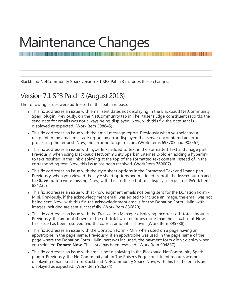# <span id="page-3-0"></span>Maintenance Changes

Blackbaud NetCommunity Spark version 7.1 SP3 Patch 3 includes these changes.

#### <span id="page-3-1"></span>Version 7.1 SP3 Patch 3 (August 2018)

The following issues were addressed in this patch release.

• This fix addresses an issue with email sent dates not displaying in the Blackbaud NetCommunity Spark plugin. Previously, on the NetCommunity tab in The Raiser's Edge constituent records, the send date for emails was not always being displayed. Now, with this fix, the date sent is displayed as expected. (Work Item 598845)

- This fix addresses an issue with the email message report. Previously when you selected a recipient in the email message report, an error displayed that server encountered an error processing the request. Now, the error no longer occurs. (Work Items 693705 and 903567)
- This fix addresses an issue with hyperlinks added to text in the Formatted Text and Image part. Previously, when using Blackbaud NetCommunity Spark in Internet Explorer, adding a hyperlink to text resulted in the link displaying at the top of the formatted text content instead of in the corresponding text. Now, this issue has been resolved. (Work Item 769007)
- This fix addresses an issue with the style sheet options in the Formatted Text and Image part. Previously, when you viewed the style sheet options and made edits, both the **Insert** button and the **Save** button were missing. Now, with this fix, these buttons display as expected. (Work Item 884235)
- This fix addresses an issue with acknowledgment emails not being sent for the Donation Form -Mini. Previously, if the acknowledgment email was edited to include an image. the email was not being sent. Now, with this fix, the acknowledgment emails for the Donation Form - Mini with images included are sent successfully. (Work Item 886820)
- This fix addresses an issue with the Transaction Manager displaying incorrect gift total amounts. Previously, the amount shown for the gift total was ten times more than the actual total. Now, this issue has been resolved and the correct amount is shown. (Work Item 895788)
- This fix addresses an issue with the Donation Form Mini when used on a page having an apostrophe in the page name. Previously, if an apostrophe was used in the page name of the page where the Donation Form - Mini part was included, the payment form didn't display when you selected **Donate Now**. This issue has been resolved. (Work Item 904837)
- This fix addresses an issue with emails not displaying in the Blackbaud NetCommunity Spark plugin. Previously, the NetCommunity tab in The Raiser's Edge constituent records was not displaying emails sent from Blackbaud NetCommunity Spark. Now, with this fix, the emails are displayed as expected. (Work Item 926274)